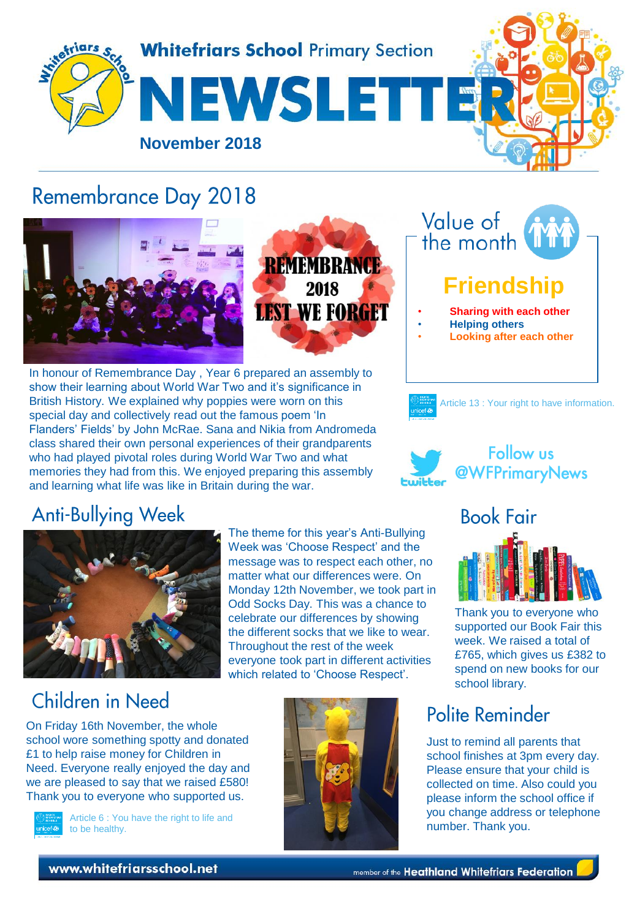

## **Remembrance Day 2018**



REMEMBRANCE 2018 **LEST WE FORGET** 

In honour of Remembrance Day , Year 6 prepared an assembly to show their learning about World War Two and it's significance in British History. We explained why poppies were worn on this special day and collectively read out the famous poem 'In Flanders' Fields' by John McRae. Sana and Nikia from Andromeda class shared their own personal experiences of their grandparents who had played pivotal roles during World War Two and what memories they had from this. We enjoyed preparing this assembly and learning what life was like in Britain during the war.







## **Anti-Bullying Week**



The theme for this year's Anti-Bullying Week was 'Choose Respect' and the message was to respect each other, no matter what our differences were. On Monday 12th November, we took part in Odd Socks Day. This was a chance to celebrate our differences by showing the different socks that we like to wear. Throughout the rest of the week everyone took part in different activities which related to 'Choose Respect'.

# Children in Need

On Friday 16th November, the whole school wore something spotty and donated £1 to help raise money for Children in Need. Everyone really enjoyed the day and we are pleased to say that we raised £580! Thank you to everyone who supported us.



Article 6 : You have the right to life and to be healthy.



# **Book Fair**

Thank you to everyone who supported our Book Fair this week. We raised a total of £765, which gives us £382 to spend on new books for our school library.

## Polite Reminder

Just to remind all parents that school finishes at 3pm every day. Please ensure that your child is collected on time. Also could you please inform the school office if you change address or telephone number. Thank you.

www.whitefriarsschool.net